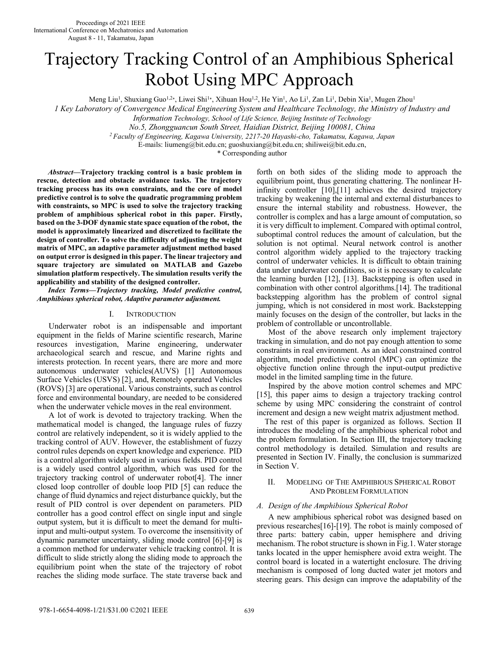# Trajectory Tracking Control of an Amphibious Spherical Robot Using MPC Approach

Meng Liu<sup>1</sup>, Shuxiang Guo<sup>1,2</sup>\*, Liwei Shi<sup>1</sup>\*, Xihuan Hou<sup>1,2</sup>, He Yin<sup>1</sup>, Ao Li<sup>1</sup>, Zan Li<sup>1</sup>, Debin Xia<sup>1</sup>, Mugen Zhou<sup>1</sup>

*1 Key Laboratory of Convergence Medical Engineering System and Healthcare Technology, the Ministry of Industry and* 

*Information Technology, School of Life Science, Beijing Institute of Technology*

*No.5, Zhongguancun South Street, Haidian District, Beijing 100081, China* 

*<sup>2</sup>Faculty of Engineering, Kagawa University, 2217-20 Hayashi-cho, Takamatsu, Kagawa, Japan* 

E-mails: liumeng@bit.edu.cn; guoshuxiang@bit.edu.cn; shiliwei@bit.edu.cn,

\* Corresponding author

*Abstract***—Trajectory tracking control is a basic problem in rescue, detection and obstacle avoidance tasks. The trajectory tracking process has its own constraints, and the core of model predictive control is to solve the quadratic programming problem with constraints, so MPC is used to solve the trajectory tracking problem of amphibious spherical robot in this paper. Firstly, based on the 3-DOF dynamic state space equation of the robot, the model is approximately linearized and discretized to facilitate the design of controller. To solve the difficulty of adjusting the weight matrix of MPC, an adaptive parameter adjustment method based on output error is designed in this paper. The linear trajectory and square trajectory are simulated on MATLAB and Gazebo simulation platform respectively. The simulation results verify the applicability and stability of the designed controller.**

*Index Terms—Trajectory tracking, Model predictive control, Amphibious spherical robot, Adaptive parameter adjustment.* 

#### I. INTRODUCTION

Underwater robot is an indispensable and important equipment in the fields of Marine scientific research, Marine resources investigation, Marine engineering, underwater archaeological search and rescue, and Marine rights and interests protection. In recent years, there are more and more autonomous underwater vehicles(AUVS) [1] Autonomous Surface Vehicles (USVS) [2], and, Remotely operated Vehicles (ROVS) [3] are operational. Various constraints, such as control force and environmental boundary, are needed to be considered when the underwater vehicle moves in the real environment.

A lot of work is devoted to trajectory tracking. When the mathematical model is changed, the language rules of fuzzy control are relatively independent, so it is widely applied to the tracking control of AUV. However, the establishment of fuzzy control rules depends on expert knowledge and experience. PID is a control algorithm widely used in various fields. PID control is a widely used control algorithm, which was used for the trajectory tracking control of underwater robot[4]. The inner closed loop controller of double loop PID [5] can reduce the change of fluid dynamics and reject disturbance quickly, but the result of PID control is over dependent on parameters. PID controller has a good control effect on single input and single output system, but it is difficult to meet the demand for multiinput and multi-output system. To overcome the insensitivity of dynamic parameter uncertainty, sliding mode control [6]-[9] is a common method for underwater vehicle tracking control. It is difficult to slide strictly along the sliding mode to approach the equilibrium point when the state of the trajectory of robot reaches the sliding mode surface. The state traverse back and

forth on both sides of the sliding mode to approach the equilibrium point, thus generating chattering. The nonlinear Hinfinity controller [10],[11] achieves the desired trajectory tracking by weakening the internal and external disturbances to ensure the internal stability and robustness. However, the controller is complex and has a large amount of computation, so it is very difficult to implement. Compared with optimal control, suboptimal control reduces the amount of calculation, but the solution is not optimal. Neural network control is another control algorithm widely applied to the trajectory tracking control of underwater vehicles. It is difficult to obtain training data under underwater conditions, so it is necessary to calculate the learning burden [12], [13]. Backstepping is often used in combination with other control algorithms.[14]. The traditional backstepping algorithm has the problem of control signal jumping, which is not considered in most work. Backstepping mainly focuses on the design of the controller, but lacks in the problem of controllable or uncontrollable.

Most of the above research only implement trajectory tracking in simulation, and do not pay enough attention to some constraints in real environment. As an ideal constrained control algorithm, model predictive control (MPC) can optimize the objective function online through the input-output predictive model in the limited sampling time in the future.

Inspired by the above motion control schemes and MPC [15], this paper aims to design a trajectory tracking control scheme by using MPC considering the constraint of control increment and design a new weight matrix adjustment method.

The rest of this paper is organized as follows. Section II introduces the modeling of the amphibious spherical robot and the problem formulation. In Section III, the trajectory tracking control methodology is detailed. Simulation and results are presented in Section IV. Finally, the conclusion is summarized in Section V.

## II. MODELING OF THE AMPHIBIOUS SPHERICAL ROBOT AND PROBLEM FORMULATION

#### *A. Design of the Amphibious Spherical Robot*

 A new amphibious spherical robot was designed based on previous researches[16]-[19]. The robot is mainly composed of three parts: battery cabin, upper hemisphere and driving mechanism. The robot structure is shown in Fig.1. Water storage tanks located in the upper hemisphere avoid extra weight. The control board is located in a watertight enclosure. The driving mechanism is composed of long ducted water jet motors and steering gears. This design can improve the adaptability of the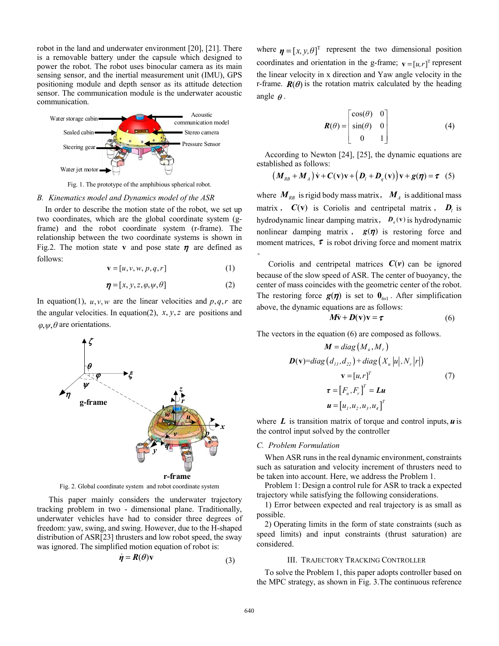robot in the land and underwater environment [20], [21]. There is a removable battery under the capsule which designed to power the robot. The robot uses binocular camera as its main sensing sensor, and the inertial measurement unit (IMU), GPS positioning module and depth sensor as its attitude detection sensor. The communication module is the underwater acoustic communication.



Fig. 1. The prototype of the amphibious spherical robot.

#### *B. Kinematics model and Dynamics model of the ASR*

In order to describe the motion state of the robot, we set up two coordinates, which are the global coordinate system (gframe) and the robot coordinate system (r-frame). The relationship between the two coordinate systems is shown in Fig.2. The motion state **v** and pose state  $\eta$  are defined as follows:

$$
\mathbf{v} = [u, v, w, p, q, r] \tag{1}
$$

$$
\boldsymbol{\eta} = [x, y, z, \varphi, \psi, \theta] \tag{2}
$$

In equation(1),  $u, v, w$  are the linear velocities and  $p, q, r$  are the angular velocities. In equation(2),  $x, y, z$  are positions and  $\varphi, \psi, \theta$  are orientations.



Fig. 2. Global coordinate system and robot coordinate system

This paper mainly considers the underwater trajectory tracking problem in two - dimensional plane. Traditionally, underwater vehicles have had to consider three degrees of freedom: yaw, swing, and swing. However, due to the H-shaped distribution of ASR[23] thrusters and low robot speed, the sway was ignored. The simplified motion equation of robot is:

$$
\dot{\eta} = R(\theta)\mathbf{v} \tag{3}
$$

where  $\boldsymbol{\eta} = [x, y, \theta]^T$  represent the two dimensional position coordinates and orientation in the g-frame;  $\mathbf{v} = [u, r]^T$  represent the linear velocity in x direction and Yaw angle velocity in the r-frame.  $R(\theta)$  is the rotation matrix calculated by the heading angle  $\theta$ .

$$
\boldsymbol{R}(\theta) = \begin{bmatrix} \cos(\theta) & 0 \\ \sin(\theta) & 0 \\ 0 & 1 \end{bmatrix}
$$
 (4)

According to Newton [24], [25], the dynamic equations are established as follows:

$$
(M_{RB} + M_A)\dot{v} + C(v)v + (D_l + D_q(v))v + g(\eta) = \tau
$$
 (5)

where  $M_{RB}$  is rigid body mass matrix,  $M_A$  is additional mass matrix,  $C(v)$  is Coriolis and centripetal matrix,  $D_i$  is hydrodynamic linear damping matrix,  $D_q(v)$  is hydrodynamic nonlinear damping matrix,  $g(\eta)$  is restoring force and moment matrices,  $\tau$  is robot driving force and moment matrix  $\bullet$ 

Coriolis and centripetal matrices  $C(v)$  can be ignored because of the slow speed of ASR. The center of buoyancy, the center of mass coincides with the geometric center of the robot. The restoring force  $g(\eta)$  is set to  $0_{6\times 1}$ . After simplification above, the dynamic equations are as follows:

$$
M\dot{v} + D(v)v = \tau
$$
 (6)

The vectors in the equation (6) are composed as follows.

$$
\mathbf{M} = diag(M_u, M_r)
$$
  
\n
$$
\mathbf{D}(\mathbf{v}) = diag(d_{11}, d_{22}) + diag(X_u |u|, N_r |r|)
$$
  
\n
$$
\mathbf{v} = [u, r]^T
$$
  
\n
$$
\mathbf{\tau} = [F_u, F_r]^T = \mathbf{L}u
$$
  
\n
$$
\mathbf{u} = [u_1, u_2, u_3, u_4]^T
$$
\n(7)

where *L* is transition matrix of torque and control inputs, *u* is the control input solved by the controller

#### *C. Problem Formulation*

When ASR runs in the real dynamic environment, constraints such as saturation and velocity increment of thrusters need to be taken into account. Here, we address the Problem 1.

Problem 1: Design a control rule for ASR to track a expected trajectory while satisfying the following considerations.

1) Error between expected and real trajectory is as small as possible.

2) Operating limits in the form of state constraints (such as speed limits) and input constraints (thrust saturation) are considered.

## III. TRAJECTORY TRACKING CONTROLLER

To solve the Problem 1, this paper adopts controller based on the MPC strategy, as shown in Fig. 3.The continuous reference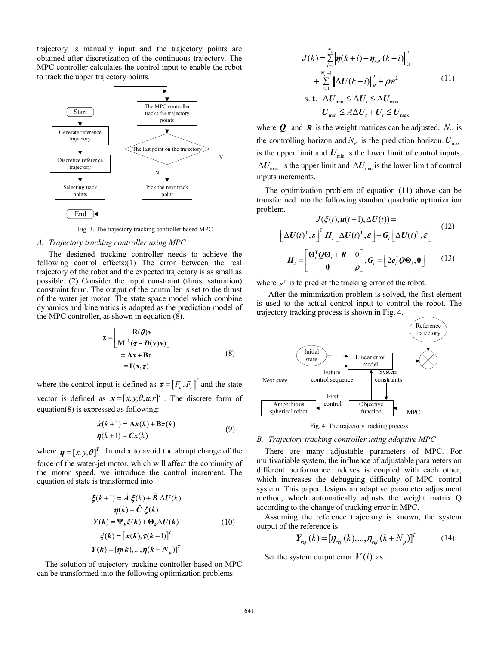trajectory is manually input and the trajectory points are obtained after discretization of the continuous trajectory. The MPC controller calculates the control input to enable the robot to track the upper trajectory points.



Fig. 3. The trajectory tracking controller based MPC

## *A. Trajectory tracking controller using MPC*

The designed tracking controller needs to achieve the following control effects:(1) The error between the real trajectory of the robot and the expected trajectory is as small as possible. (2) Consider the input constraint (thrust saturation) constraint form. The output of the controller is set to the thrust of the water jet motor. The state space model which combine dynamics and kinematics is adopted as the prediction model of the MPC controller, as shown in equation (8).

$$
\dot{\mathbf{x}} = \begin{bmatrix} \mathbf{R}(\boldsymbol{\theta})\mathbf{v} \\ \mathbf{M}^{-1}(\boldsymbol{\tau} - \mathbf{D}(\mathbf{v})\mathbf{v}) \end{bmatrix} \\ = \mathbf{A}\mathbf{x} + \mathbf{B}\boldsymbol{\tau} \\ = \mathbf{f}(\mathbf{x}, \boldsymbol{\tau})
$$
\n(8)

where the control input is defined as  $\boldsymbol{\tau} = [F_u, F_v]^T$  and the state vector is defined as  $\mathbf{x} = [x, y, \theta, u, r]^T$ . The discrete form of equation(8) is expressed as following:

$$
\dot{x}(k+1) = Ax(k) + B\tau(k)
$$
  
\n
$$
\eta(k+1) = Cx(k)
$$
\n(9)

where  $\boldsymbol{\eta} = [x, y, \theta]^T$ . In order to avoid the abrupt change of the force of the water-jet motor, which will affect the continuity of the motor speed, we introduce the control increment. The equation of state is transformed into:

$$
\xi(k+1) = \tilde{A} \xi(k) + \tilde{B} \Delta U(k)
$$
  
\n
$$
\eta(k) = \tilde{C} \xi(k)
$$
  
\n
$$
Y(k) = \Psi_k \xi(k) + \Theta_k \Delta U(k)
$$
  
\n
$$
\xi(k) = [x(k), \tau(k-1)]^T
$$
  
\n
$$
Y(k) = [\eta(k), ..., \eta(k+N_p)]^T
$$
 (10)

The solution of trajectory tracking controller based on MPC can be transformed into the following optimization problems:

$$
J(k) = \sum_{i=1}^{N_p} \left\| \boldsymbol{\eta}(k+i) - \boldsymbol{\eta}_{ref}(k+i) \right\|_{Q}^{2}
$$
  
+ 
$$
\sum_{i=1}^{N_c-1} \left\| \Delta U(k+i) \right\|_{R}^{2} + \rho \varepsilon^{2}
$$
  
s. t. 
$$
\Delta U_{\min} \leq \Delta U_{t} \leq \Delta U_{\max}
$$
  

$$
U_{\min} \leq A \Delta U_{t} + U_{t} \leq U_{\max}
$$
 (11)

where  $Q$  and  $R$  is the weight matrices can be adjusted,  $N_C$  is the controlling horizon and  $N_p$  is the prediction horizon.  $U_{\text{max}}$ is the upper limit and  $U_{\text{min}}$  is the lower limit of control inputs.  $\Delta U_{\text{max}}$  is the upper limit and  $\Delta U_{\text{min}}$  is the lower limit of control inputs increments.

The optimization problem of equation (11) above can be transformed into the following standard quadratic optimization problem.

$$
J(\xi(t), u(t-1), \Delta U(t)) =
$$
\n
$$
\left[\Delta U(t)^{\mathrm{T}}, \varepsilon\right]^{\mathrm{T}} \boldsymbol{H}_t \left[\Delta U(t)^{\mathrm{T}}, \varepsilon\right] + \boldsymbol{G}_t \left[\Delta U(t)^{\mathrm{T}}, \varepsilon\right] \tag{12}
$$
\n
$$
\boldsymbol{H}_t = \begin{bmatrix} \boldsymbol{\Theta}_t^{\mathrm{T}} \boldsymbol{Q} \boldsymbol{\Theta}_t + \boldsymbol{R} & 0 \\ 0 & \rho \end{bmatrix}, \boldsymbol{G}_t = \begin{bmatrix} 2e_t^{\mathrm{T}} \boldsymbol{Q} \boldsymbol{\Theta}_t, \boldsymbol{0} \end{bmatrix} \tag{13}
$$

where  $e^T$  is to predict the tracking error of the robot.

 After the minimization problem is solved, the first element is used to the actual control input to control the robot. The trajectory tracking process is shown in Fig. 4.



Fig. 4. The trajectory tracking process

#### *B. Trajectory tracking controller using adaptive MPC*

There are many adjustable parameters of MPC. For multivariable system, the influence of adjustable parameters on different performance indexes is coupled with each other, which increases the debugging difficulty of MPC control system. This paper designs an adaptive parameter adjustment method, which automatically adjusts the weight matrix Q according to the change of tracking error in MPC.

Assuming the reference trajectory is known, the system output of the reference is

$$
Y_{ref}(k) = [\eta_{ref}(k), ..., \eta_{ref}(k + N_p)]^T
$$
 (14)

Set the system output error  $V(i)$  as: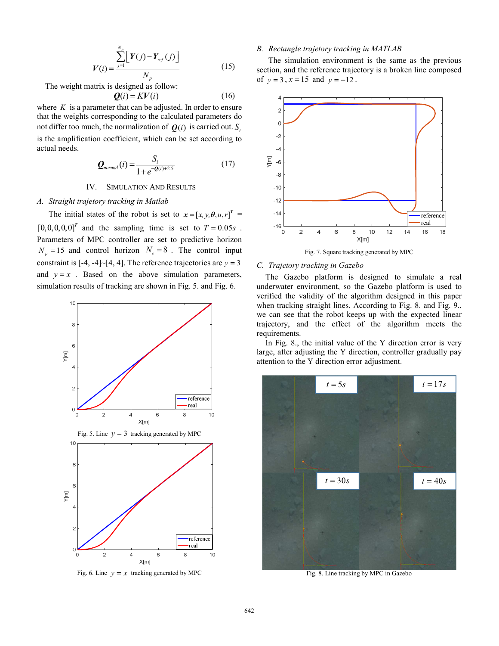$$
V(i) = \frac{\sum_{j=1}^{N_p} \left[ Y(j) - Y_{ref}(j) \right]}{N_p}
$$
 (15)

The weight matrix is designed as follow:

$$
\mathbf{Q}(i) = KV(i) \tag{16}
$$

where  $K$  is a parameter that can be adjusted. In order to ensure that the weights corresponding to the calculated parameters do not differ too much, the normalization of  $\boldsymbol{Q}(i)$  is carried out.  $S_i$ is the amplification coefficient, which can be set according to actual needs.

$$
Q_{normal}(i) = \frac{S_i}{1 + e^{-Q(i) + 2.5}}
$$
(17)

# IV. SIMULATION AND RESULTS

#### *A. Straight trajetory tracking in Matlab*

The initial states of the robot is set to  $x = [x, y, \theta, u, r]^T$  $[0,0,0,0,0]^T$  and the sampling time is set to  $T = 0.05s$ . Parameters of MPC controller are set to predictive horizon  $N_p = 15$  and control horizon  $N_c = 8$ . The control input constraint is  $[-4, -4] \sim [4, 4]$ . The reference trajectories are  $y = 3$ and  $y = x$ . Based on the above simulation parameters, simulation results of tracking are shown in Fig. 5. and Fig. 6.



Fig. 6. Line  $y = x$  tracking generated by MPC

## *B. Rectangle trajetory tracking in MATLAB*

The simulation environment is the same as the previous section, and the reference trajectory is a broken line composed of  $y = 3$ ,  $x = 15$  and  $y = -12$ .



Fig. 7. Square tracking generated by MPC

## *C. Trajetory tracking in Gazebo*

The Gazebo platform is designed to simulate a real underwater environment, so the Gazebo platform is used to verified the validity of the algorithm designed in this paper when tracking straight lines. According to Fig. 8. and Fig. 9., we can see that the robot keeps up with the expected linear trajectory, and the effect of the algorithm meets the requirements.

In Fig. 8., the initial value of the Y direction error is very large, after adjusting the Y direction, controller gradually pay attention to the Y direction error adjustment.



Fig. 8. Line tracking by MPC in Gazebo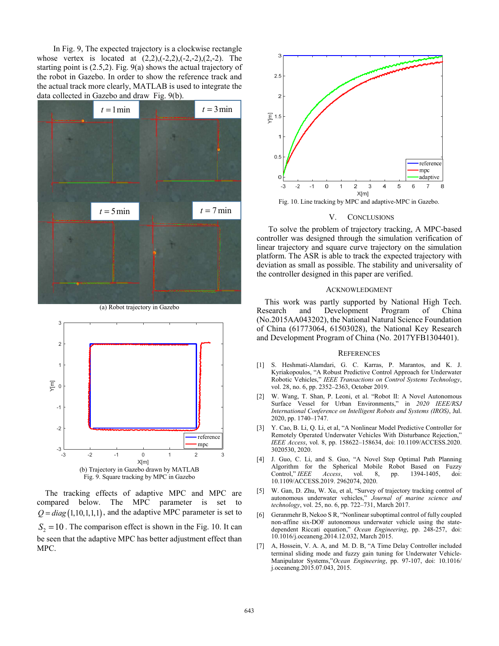In Fig. 9, The expected trajectory is a clockwise rectangle whose vertex is located at  $(2,2), (-2,2), (-2,-2), (2,-2)$ . The starting point is (2.5,2). Fig. 9(a) shows the actual trajectory of the robot in Gazebo. In order to show the reference track and the actual track more clearly, MATLAB is used to integrate the data collected in Gazebo and draw Fig. 9(b).



(a) Robot trajectory in Gazebo



The tracking effects of adaptive MPC and MPC are compared below. The MPC parameter is set to  $Q = diag(1, 10, 1, 1, 1)$ , and the adaptive MPC parameter is set to  $S_2 = 10$ . The comparison effect is shown in the Fig. 10. It can be seen that the adaptive MPC has better adjustment effect than MPC.



Fig. 10. Line tracking by MPC and adaptive-MPC in Gazebo.

#### V. CONCLUSIONS

To solve the problem of trajectory tracking, A MPC-based controller was designed through the simulation verification of linear trajectory and square curve trajectory on the simulation platform. The ASR is able to track the expected trajectory with deviation as small as possible. The stability and universality of the controller designed in this paper are verified.

#### ACKNOWLEDGMENT

This work was partly supported by National High Tech.<br>Research and Development Program of China and Development Program of China (No.2015AA043202), the National Natural Science Foundation of China (61773064, 61503028), the National Key Research and Development Program of China (No. 2017YFB1304401).

#### **REFERENCES**

- [1] S. Heshmati-Alamdari, G. C. Karras, P. Marantos, and K. J. Kyriakopoulos, "A Robust Predictive Control Approach for Underwater Robotic Vehicles," *IEEE Transactions on Control Systems Technology*, vol. 28, no. 6, pp. 2352–2363, October 2019.
- [2] W. Wang, T. Shan, P. Leoni, et al. "Robot II: A Novel Autonomous Surface Vessel for Urban Environments," in *2020 IEEE/RSJ International Conference on Intelligent Robots and Systems (IROS)*, Jul. 2020, pp. 1740–1747.
- [3] Y. Cao, B. Li, Q. Li, et al, "A Nonlinear Model Predictive Controller for Remotely Operated Underwater Vehicles With Disturbance Rejection," *IEEE Access*, vol. 8, pp. 158622–158634, doi: 10.1109/ACCESS.2020. 3020530, 2020.
- [4] J. Guo, C. Li, and S. Guo, "A Novel Step Optimal Path Planning Algorithm for the Spherical Mobile Robot Based on Fuzzy Control," *IEEE Access*, vol. 8, pp. 1394-1405, doi: 10.1109/ACCESS.2019. 2962074, 2020.
- [5] W. Gan, D. Zhu, W. Xu, et al, "Survey of trajectory tracking control of autonomous underwater vehicles," *Journal of marine science and technology*, vol. 25, no. 6, pp. 722–731, March 2017.
- [6] Geranmehr B, Nekoo S R, "Nonlinear suboptimal control of fully coupled non-affine six-DOF autonomous underwater vehicle using the statedependent Riccati equation," *Ocean Engineering*, pp. 248-257, doi: 10.1016/j.oceaneng.2014.12.032, March 2015.
- [7] A, Hossein, V. A. A, and M. D. B, "A Time Delay Controller included terminal sliding mode and fuzzy gain tuning for Underwater Vehicle-Manipulator Systems,"*Ocean Engineering*, pp. 97-107, doi: 10.1016/ j.oceaneng.2015.07.043, 2015.